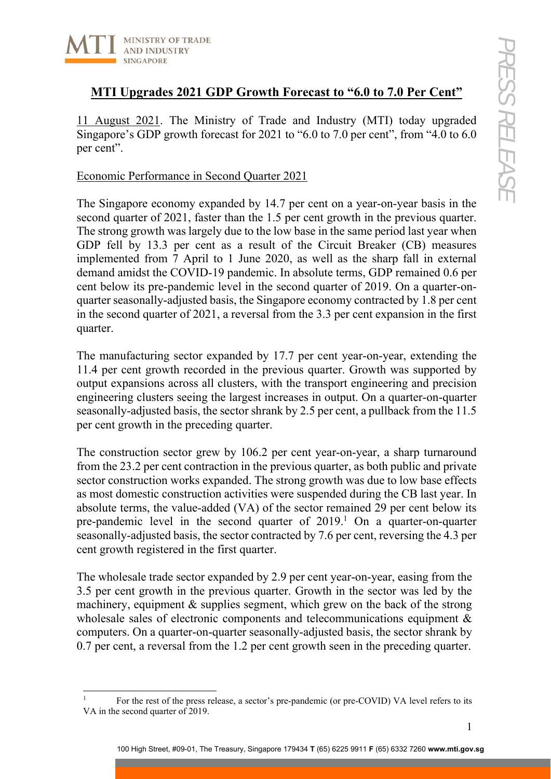

# **MTI Upgrades 2021 GDP Growth Forecast to "6.0 to 7.0 Per Cent"**

11 August 2021. The Ministry of Trade and Industry (MTI) today upgraded Singapore's GDP growth forecast for 2021 to "6.0 to 7.0 per cent", from "4.0 to 6.0 per cent".

### Economic Performance in Second Quarter 2021

The Singapore economy expanded by 14.7 per cent on a year-on-year basis in the second quarter of 2021, faster than the 1.5 per cent growth in the previous quarter. The strong growth was largely due to the low base in the same period last year when GDP fell by 13.3 per cent as a result of the Circuit Breaker (CB) measures implemented from 7 April to 1 June 2020, as well as the sharp fall in external demand amidst the COVID-19 pandemic. In absolute terms, GDP remained 0.6 per cent below its pre-pandemic level in the second quarter of 2019. On a quarter-onquarter seasonally-adjusted basis, the Singapore economy contracted by 1.8 per cent in the second quarter of 2021, a reversal from the 3.3 per cent expansion in the first quarter.

The manufacturing sector expanded by 17.7 per cent year-on-year, extending the 11.4 per cent growth recorded in the previous quarter. Growth was supported by output expansions across all clusters, with the transport engineering and precision engineering clusters seeing the largest increases in output. On a quarter-on-quarter seasonally-adjusted basis, the sector shrank by 2.5 per cent, a pullback from the 11.5 per cent growth in the preceding quarter.

The construction sector grew by 106.2 per cent year-on-year, a sharp turnaround from the 23.2 per cent contraction in the previous quarter, as both public and private sector construction works expanded. The strong growth was due to low base effects as most domestic construction activities were suspended during the CB last year. In absolute terms, the value-added (VA) of the sector remained 29 per cent below its pre-pandemic level in the second quarter of  $2019<sup>1</sup>$  On a quarter-on-quarter seasonally-adjusted basis, the sector contracted by 7.6 per cent, reversing the 4.3 per cent growth registered in the first quarter.

The wholesale trade sector expanded by 2.9 per cent year-on-year, easing from the 3.5 per cent growth in the previous quarter. Growth in the sector was led by the machinery, equipment & supplies segment, which grew on the back of the strong wholesale sales of electronic components and telecommunications equipment & computers. On a quarter-on-quarter seasonally-adjusted basis, the sector shrank by 0.7 per cent, a reversal from the 1.2 per cent growth seen in the preceding quarter.

<sup>1</sup> For the rest of the press release, a sector's pre-pandemic (or pre-COVID) VA level refers to its VA in the second quarter of 2019.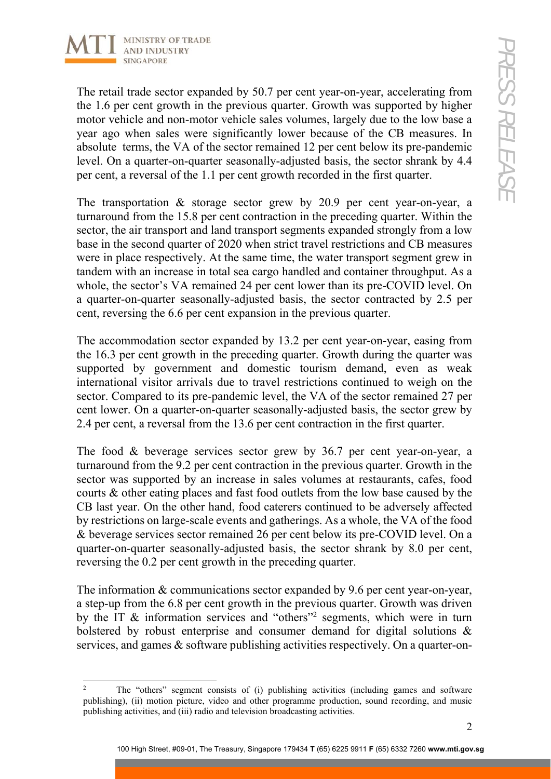

The retail trade sector expanded by 50.7 per cent year-on-year, accelerating from the 1.6 per cent growth in the previous quarter. Growth was supported by higher motor vehicle and non-motor vehicle sales volumes, largely due to the low base a year ago when sales were significantly lower because of the CB measures. In absolute terms, the VA of the sector remained 12 per cent below its pre-pandemic level. On a quarter-on-quarter seasonally-adjusted basis, the sector shrank by 4.4 per cent, a reversal of the 1.1 per cent growth recorded in the first quarter.

The transportation & storage sector grew by 20.9 per cent year-on-year, a turnaround from the 15.8 per cent contraction in the preceding quarter. Within the sector, the air transport and land transport segments expanded strongly from a low base in the second quarter of 2020 when strict travel restrictions and CB measures were in place respectively. At the same time, the water transport segment grew in tandem with an increase in total sea cargo handled and container throughput. As a whole, the sector's VA remained 24 per cent lower than its pre-COVID level. On a quarter-on-quarter seasonally-adjusted basis, the sector contracted by 2.5 per cent, reversing the 6.6 per cent expansion in the previous quarter.

The accommodation sector expanded by 13.2 per cent year-on-year, easing from the 16.3 per cent growth in the preceding quarter. Growth during the quarter was supported by government and domestic tourism demand, even as weak international visitor arrivals due to travel restrictions continued to weigh on the sector. Compared to its pre-pandemic level, the VA of the sector remained 27 per cent lower. On a quarter-on-quarter seasonally-adjusted basis, the sector grew by 2.4 per cent, a reversal from the 13.6 per cent contraction in the first quarter.

The food & beverage services sector grew by 36.7 per cent year-on-year, a turnaround from the 9.2 per cent contraction in the previous quarter. Growth in the sector was supported by an increase in sales volumes at restaurants, cafes, food courts & other eating places and fast food outlets from the low base caused by the CB last year. On the other hand, food caterers continued to be adversely affected by restrictions on large-scale events and gatherings. As a whole, the VA of the food & beverage services sector remained 26 per cent below its pre-COVID level. On a quarter-on-quarter seasonally-adjusted basis, the sector shrank by 8.0 per cent, reversing the 0.2 per cent growth in the preceding quarter.

The information & communications sector expanded by 9.6 per cent year-on-year, a step-up from the 6.8 per cent growth in the previous quarter. Growth was driven by the IT & information services and "others"<sup>2</sup> segments, which were in turn bolstered by robust enterprise and consumer demand for digital solutions & services, and games & software publishing activities respectively. On a quarter-on-

<sup>2</sup> The "others" segment consists of (i) publishing activities (including games and software publishing), (ii) motion picture, video and other programme production, sound recording, and music publishing activities, and (iii) radio and television broadcasting activities.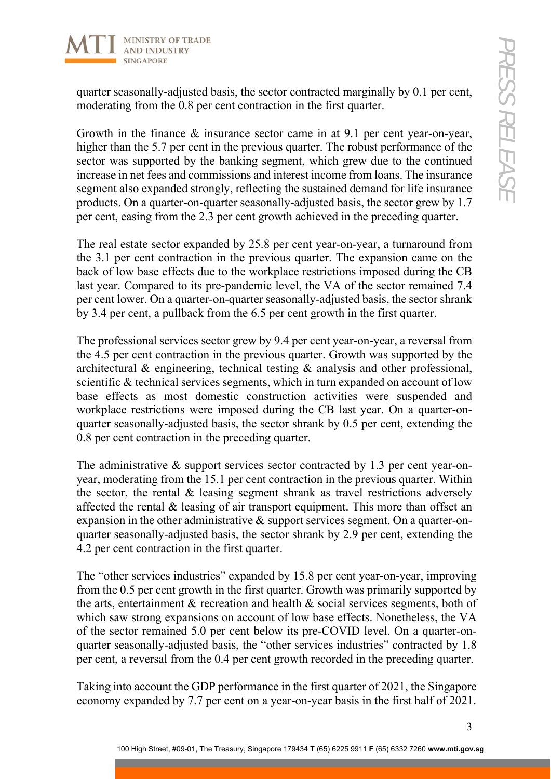

quarter seasonally-adjusted basis, the sector contracted marginally by 0.1 per cent, moderating from the 0.8 per cent contraction in the first quarter.

Growth in the finance & insurance sector came in at 9.1 per cent year-on-year, higher than the 5.7 per cent in the previous quarter. The robust performance of the sector was supported by the banking segment, which grew due to the continued increase in net fees and commissions and interest income from loans. The insurance segment also expanded strongly, reflecting the sustained demand for life insurance products. On a quarter-on-quarter seasonally-adjusted basis, the sector grew by 1.7 per cent, easing from the 2.3 per cent growth achieved in the preceding quarter.

The real estate sector expanded by 25.8 per cent year-on-year, a turnaround from the 3.1 per cent contraction in the previous quarter. The expansion came on the back of low base effects due to the workplace restrictions imposed during the CB last year. Compared to its pre-pandemic level, the VA of the sector remained 7.4 per cent lower. On a quarter-on-quarter seasonally-adjusted basis, the sector shrank by 3.4 per cent, a pullback from the 6.5 per cent growth in the first quarter.

The professional services sector grew by 9.4 per cent year-on-year, a reversal from the 4.5 per cent contraction in the previous quarter. Growth was supported by the architectural & engineering, technical testing & analysis and other professional, scientific & technical services segments, which in turn expanded on account of low base effects as most domestic construction activities were suspended and workplace restrictions were imposed during the CB last year. On a quarter-onquarter seasonally-adjusted basis, the sector shrank by 0.5 per cent, extending the 0.8 per cent contraction in the preceding quarter.

The administrative & support services sector contracted by 1.3 per cent year-onyear, moderating from the 15.1 per cent contraction in the previous quarter. Within the sector, the rental & leasing segment shrank as travel restrictions adversely affected the rental & leasing of air transport equipment. This more than offset an expansion in the other administrative & support services segment. On a quarter-onquarter seasonally-adjusted basis, the sector shrank by 2.9 per cent, extending the 4.2 per cent contraction in the first quarter.

The "other services industries" expanded by 15.8 per cent year-on-year, improving from the 0.5 per cent growth in the first quarter. Growth was primarily supported by the arts, entertainment & recreation and health & social services segments, both of which saw strong expansions on account of low base effects. Nonetheless, the VA of the sector remained 5.0 per cent below its pre-COVID level. On a quarter-onquarter seasonally-adjusted basis, the "other services industries" contracted by 1.8 per cent, a reversal from the 0.4 per cent growth recorded in the preceding quarter.

Taking into account the GDP performance in the first quarter of 2021, the Singapore economy expanded by 7.7 per cent on a year-on-year basis in the first half of 2021.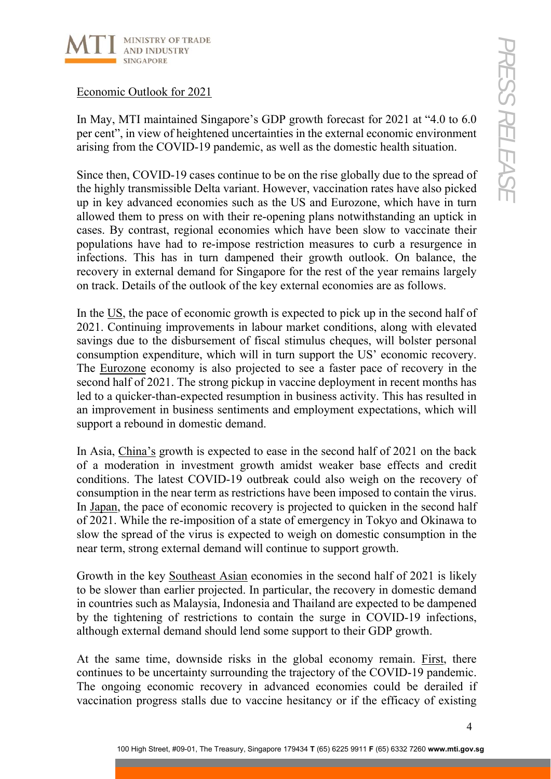

## Economic Outlook for 2021

In May, MTI maintained Singapore's GDP growth forecast for 2021 at "4.0 to 6.0 per cent", in view of heightened uncertainties in the external economic environment arising from the COVID-19 pandemic, as well as the domestic health situation.

Since then, COVID-19 cases continue to be on the rise globally due to the spread of the highly transmissible Delta variant. However, vaccination rates have also picked up in key advanced economies such as the US and Eurozone, which have in turn allowed them to press on with their re-opening plans notwithstanding an uptick in cases. By contrast, regional economies which have been slow to vaccinate their populations have had to re-impose restriction measures to curb a resurgence in infections. This has in turn dampened their growth outlook. On balance, the recovery in external demand for Singapore for the rest of the year remains largely on track. Details of the outlook of the key external economies are as follows.

In the US, the pace of economic growth is expected to pick up in the second half of 2021. Continuing improvements in labour market conditions, along with elevated savings due to the disbursement of fiscal stimulus cheques, will bolster personal consumption expenditure, which will in turn support the US' economic recovery. The Eurozone economy is also projected to see a faster pace of recovery in the second half of 2021. The strong pickup in vaccine deployment in recent months has led to a quicker-than-expected resumption in business activity. This has resulted in an improvement in business sentiments and employment expectations, which will support a rebound in domestic demand.

In Asia, China's growth is expected to ease in the second half of 2021 on the back of a moderation in investment growth amidst weaker base effects and credit conditions. The latest COVID-19 outbreak could also weigh on the recovery of consumption in the near term as restrictions have been imposed to contain the virus. In Japan, the pace of economic recovery is projected to quicken in the second half of 2021. While the re-imposition of a state of emergency in Tokyo and Okinawa to slow the spread of the virus is expected to weigh on domestic consumption in the near term, strong external demand will continue to support growth.

Growth in the key Southeast Asian economies in the second half of 2021 is likely to be slower than earlier projected. In particular, the recovery in domestic demand in countries such as Malaysia, Indonesia and Thailand are expected to be dampened by the tightening of restrictions to contain the surge in COVID-19 infections, although external demand should lend some support to their GDP growth.

At the same time, downside risks in the global economy remain. First, there continues to be uncertainty surrounding the trajectory of the COVID-19 pandemic. The ongoing economic recovery in advanced economies could be derailed if vaccination progress stalls due to vaccine hesitancy or if the efficacy of existing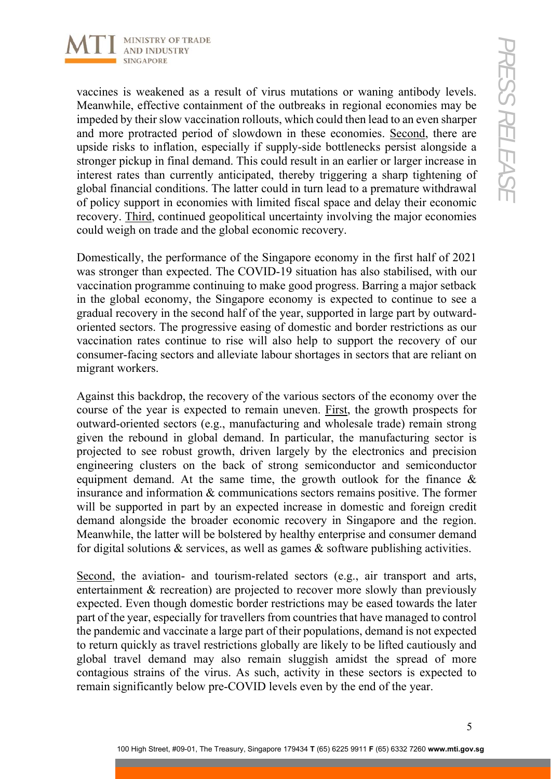

vaccines is weakened as a result of virus mutations or waning antibody levels. Meanwhile, effective containment of the outbreaks in regional economies may be impeded by their slow vaccination rollouts, which could then lead to an even sharper and more protracted period of slowdown in these economies. Second, there are upside risks to inflation, especially if supply-side bottlenecks persist alongside a stronger pickup in final demand. This could result in an earlier or larger increase in interest rates than currently anticipated, thereby triggering a sharp tightening of global financial conditions. The latter could in turn lead to a premature withdrawal of policy support in economies with limited fiscal space and delay their economic recovery. Third, continued geopolitical uncertainty involving the major economies could weigh on trade and the global economic recovery.

Domestically, the performance of the Singapore economy in the first half of 2021 was stronger than expected. The COVID-19 situation has also stabilised, with our vaccination programme continuing to make good progress. Barring a major setback in the global economy, the Singapore economy is expected to continue to see a gradual recovery in the second half of the year, supported in large part by outwardoriented sectors. The progressive easing of domestic and border restrictions as our vaccination rates continue to rise will also help to support the recovery of our consumer-facing sectors and alleviate labour shortages in sectors that are reliant on migrant workers.

Against this backdrop, the recovery of the various sectors of the economy over the course of the year is expected to remain uneven. First, the growth prospects for outward-oriented sectors (e.g., manufacturing and wholesale trade) remain strong given the rebound in global demand. In particular, the manufacturing sector is projected to see robust growth, driven largely by the electronics and precision engineering clusters on the back of strong semiconductor and semiconductor equipment demand. At the same time, the growth outlook for the finance & insurance and information & communications sectors remains positive. The former will be supported in part by an expected increase in domestic and foreign credit demand alongside the broader economic recovery in Singapore and the region. Meanwhile, the latter will be bolstered by healthy enterprise and consumer demand for digital solutions  $\&$  services, as well as games  $\&$  software publishing activities.

Second, the aviation- and tourism-related sectors (e.g., air transport and arts, entertainment & recreation) are projected to recover more slowly than previously expected. Even though domestic border restrictions may be eased towards the later part of the year, especially for travellers from countries that have managed to control the pandemic and vaccinate a large part of their populations, demand is not expected to return quickly as travel restrictions globally are likely to be lifted cautiously and global travel demand may also remain sluggish amidst the spread of more contagious strains of the virus. As such, activity in these sectors is expected to remain significantly below pre-COVID levels even by the end of the year.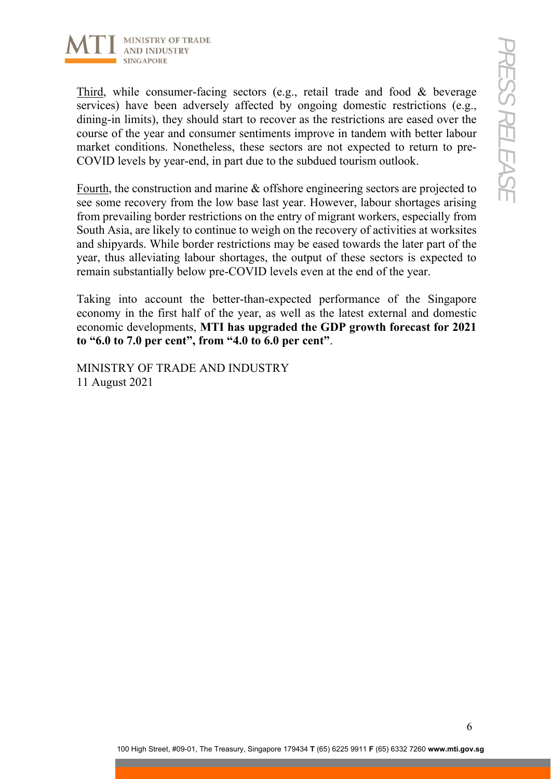

Third, while consumer-facing sectors (e.g., retail trade and food & beverage services) have been adversely affected by ongoing domestic restrictions (e.g., dining-in limits), they should start to recover as the restrictions are eased over the course of the year and consumer sentiments improve in tandem with better labour market conditions. Nonetheless, these sectors are not expected to return to pre-COVID levels by year-end, in part due to the subdued tourism outlook.

Fourth, the construction and marine & offshore engineering sectors are projected to see some recovery from the low base last year. However, labour shortages arising from prevailing border restrictions on the entry of migrant workers, especially from South Asia, are likely to continue to weigh on the recovery of activities at worksites and shipyards. While border restrictions may be eased towards the later part of the year, thus alleviating labour shortages, the output of these sectors is expected to remain substantially below pre-COVID levels even at the end of the year.

Taking into account the better-than-expected performance of the Singapore economy in the first half of the year, as well as the latest external and domestic economic developments, **MTI has upgraded the GDP growth forecast for 2021 to "6.0 to 7.0 per cent", from "4.0 to 6.0 per cent"**.

MINISTRY OF TRADE AND INDUSTRY 11 August 2021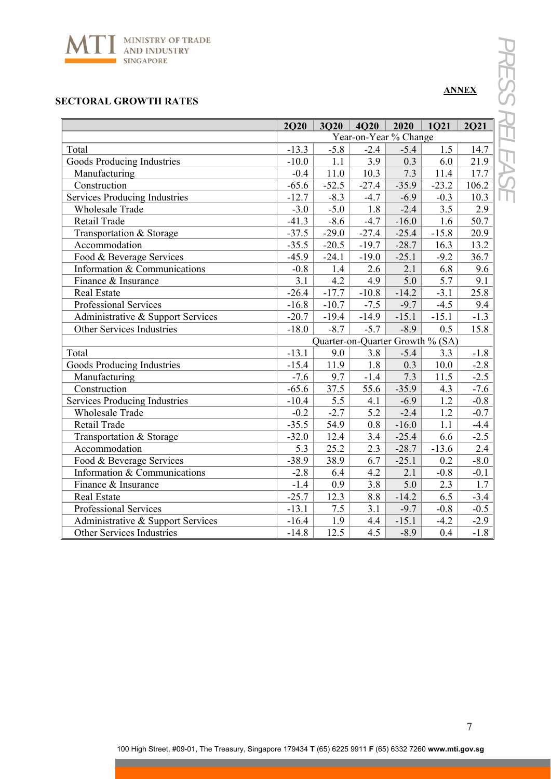

#### **SECTORAL GROWTH RATES**

|                                      | <b>2Q20</b>                      | <b>3Q20</b> | <b>4O20</b>      | 2020    | <b>1021</b> | <b>2Q21</b> |  |  |
|--------------------------------------|----------------------------------|-------------|------------------|---------|-------------|-------------|--|--|
|                                      | Year-on-Year % Change            |             |                  |         |             |             |  |  |
| Total                                | $-13.3$                          | $-5.8$      | $-2.4$           | $-5.4$  | 1.5         | 14.7        |  |  |
| Goods Producing Industries           | $-10.0$                          | 1.1         | 3.9              | 0.3     | 6.0         | 21.9        |  |  |
| Manufacturing                        | $-0.4$                           | $11.0\,$    | 10.3             | 7.3     | 11.4        | 17.7        |  |  |
| Construction                         | $-65.6$                          | $-52.5$     | $-27.4$          | $-35.9$ | $-23.2$     | 106.2       |  |  |
| <b>Services Producing Industries</b> | $-12.7$                          | $-8.3$      | $-4.7$           | $-6.9$  | $-0.3$      | 10.3        |  |  |
| <b>Wholesale Trade</b>               | $-3.0$                           | $-5.0$      | 1.8              | $-2.4$  | 3.5         | 2.9         |  |  |
| Retail Trade                         | $-41.3$                          | $-8.6$      | $-4.7$           | $-16.0$ | 1.6         | 50.7        |  |  |
| Transportation & Storage             | $-37.5$                          | $-29.0$     | $-27.4$          | $-25.4$ | $-15.8$     | 20.9        |  |  |
| Accommodation                        | $-35.5$                          | $-20.5$     | $-19.7$          | $-28.7$ | 16.3        | 13.2        |  |  |
| Food & Beverage Services             | $-45.9$                          | $-24.1$     | $-19.0$          | $-25.1$ | $-9.2$      | 36.7        |  |  |
| Information & Communications         | $-0.8$                           | 1.4         | 2.6              | 2.1     | 6.8         | 9.6         |  |  |
| Finance & Insurance                  | 3.1                              | 4.2         | 4.9              | 5.0     | 5.7         | 9.1         |  |  |
| <b>Real Estate</b>                   | $-26.4$                          | $-17.7$     | $-10.8$          | $-14.2$ | $-3.1$      | 25.8        |  |  |
| Professional Services                | $-16.8$                          | $-10.7$     | $-7.5$           | $-9.7$  | $-4.5$      | 9.4         |  |  |
| Administrative & Support Services    | $-20.7$                          | $-19.4$     | $-14.9$          | $-15.1$ | $-15.1$     | $-1.3$      |  |  |
| Other Services Industries            | $-18.0$                          | $-8.7$      | $-5.7$           | $-8.9$  | 0.5         | 15.8        |  |  |
|                                      | Quarter-on-Quarter Growth % (SA) |             |                  |         |             |             |  |  |
| Total                                | $-13.1$                          | 9.0         | 3.8              | $-5.4$  | 3.3         | $-1.8$      |  |  |
| <b>Goods Producing Industries</b>    | $-15.4$                          | 11.9        | 1.8              | 0.3     | 10.0        | $-2.8$      |  |  |
| Manufacturing                        | $-7.6$                           | 9.7         | $-1.4$           | 7.3     | 11.5        | $-2.5$      |  |  |
| Construction                         | $-65.6$                          | 37.5        | 55.6             | $-35.9$ | 4.3         | $-7.6$      |  |  |
| <b>Services Producing Industries</b> | $-10.4$                          | 5.5         | 4.1              | $-6.9$  | 1.2         | $-0.8$      |  |  |
| <b>Wholesale Trade</b>               | $-0.2$                           | $-2.7$      | 5.2              | $-2.4$  | 1.2         | $-0.7$      |  |  |
| Retail Trade                         | $-35.5$                          | 54.9        | 0.8              | $-16.0$ | 1.1         | $-4.4$      |  |  |
| Transportation & Storage             | $-32.0$                          | 12.4        | $\overline{3.4}$ | $-25.4$ | 6.6         | $-2.5$      |  |  |
| Accommodation                        | 5.3                              | 25.2        | 2.3              | $-28.7$ | $-13.6$     | 2.4         |  |  |
| Food & Beverage Services             | $-38.9$                          | 38.9        | 6.7              | $-25.1$ | 0.2         | $-8.0$      |  |  |
| Information & Communications         | $-2.8$                           | 6.4         | 4.2              | 2.1     | $-0.8$      | $-0.1$      |  |  |
| Finance & Insurance                  | $-1.4$                           | 0.9         | 3.8              | 5.0     | 2.3         | 1.7         |  |  |
| <b>Real Estate</b>                   | $-25.7$                          | 12.3        | 8.8              | $-14.2$ | 6.5         | $-3.4$      |  |  |
| Professional Services                | $-13.1$                          | 7.5         | 3.1              | $-9.7$  | $-0.8$      | $-0.5$      |  |  |
| Administrative & Support Services    | $-16.4$                          | 1.9         | 4.4              | $-15.1$ | $-4.2$      | $-2.9$      |  |  |
| Other Services Industries            | $-14.8$                          | 12.5        | 4.5              | $-8.9$  | 0.4         | $-1.8$      |  |  |

**ANNEX** 

<u> 1989 - Johann Stoff, amerikansk politiker (d. 1989)</u>